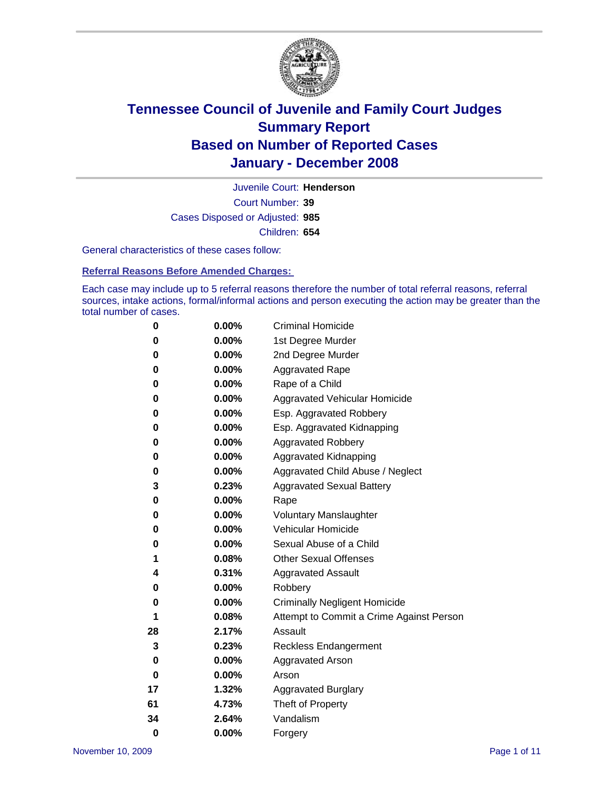

Court Number: **39** Juvenile Court: **Henderson** Cases Disposed or Adjusted: **985** Children: **654**

General characteristics of these cases follow:

**Referral Reasons Before Amended Charges:** 

Each case may include up to 5 referral reasons therefore the number of total referral reasons, referral sources, intake actions, formal/informal actions and person executing the action may be greater than the total number of cases.

| 0        | 0.00%    | <b>Criminal Homicide</b>                 |
|----------|----------|------------------------------------------|
| 0        | 0.00%    | 1st Degree Murder                        |
| 0        | $0.00\%$ | 2nd Degree Murder                        |
| 0        | 0.00%    | <b>Aggravated Rape</b>                   |
| 0        | 0.00%    | Rape of a Child                          |
| 0        | 0.00%    | Aggravated Vehicular Homicide            |
| 0        | 0.00%    | Esp. Aggravated Robbery                  |
| 0        | 0.00%    | Esp. Aggravated Kidnapping               |
| 0        | 0.00%    | <b>Aggravated Robbery</b>                |
| 0        | 0.00%    | Aggravated Kidnapping                    |
| 0        | 0.00%    | Aggravated Child Abuse / Neglect         |
| 3        | 0.23%    | <b>Aggravated Sexual Battery</b>         |
| 0        | 0.00%    | Rape                                     |
| 0        | 0.00%    | <b>Voluntary Manslaughter</b>            |
| 0        | 0.00%    | Vehicular Homicide                       |
| 0        | 0.00%    | Sexual Abuse of a Child                  |
| 1        | 0.08%    | <b>Other Sexual Offenses</b>             |
| 4        | 0.31%    | <b>Aggravated Assault</b>                |
| 0        | $0.00\%$ | Robbery                                  |
| 0        | 0.00%    | <b>Criminally Negligent Homicide</b>     |
| 1        | 0.08%    | Attempt to Commit a Crime Against Person |
| 28       | 2.17%    | Assault                                  |
| 3        | 0.23%    | <b>Reckless Endangerment</b>             |
| 0        | 0.00%    | <b>Aggravated Arson</b>                  |
| 0        | 0.00%    | Arson                                    |
| 17       | 1.32%    | <b>Aggravated Burglary</b>               |
| 61       | 4.73%    | Theft of Property                        |
| 34       | 2.64%    | Vandalism                                |
| $\bf{0}$ | 0.00%    | Forgery                                  |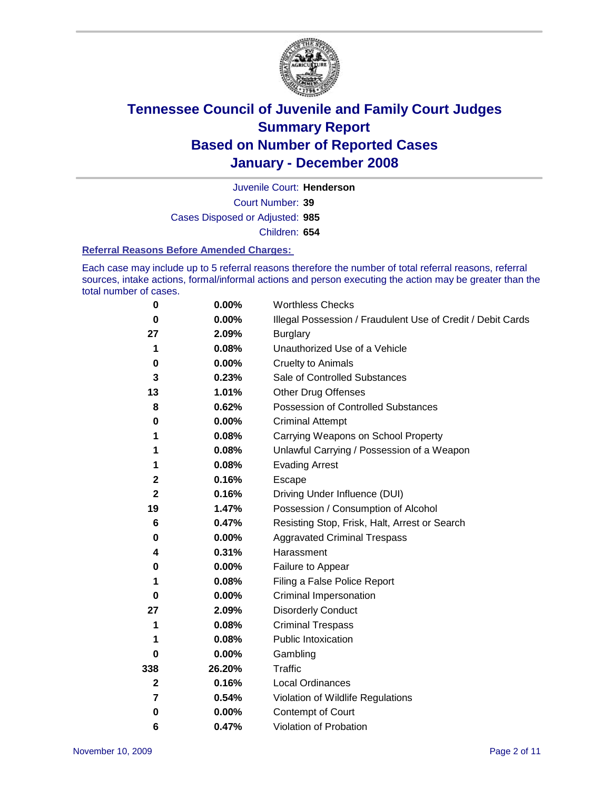

Court Number: **39** Juvenile Court: **Henderson** Cases Disposed or Adjusted: **985** Children: **654**

#### **Referral Reasons Before Amended Charges:**

Each case may include up to 5 referral reasons therefore the number of total referral reasons, referral sources, intake actions, formal/informal actions and person executing the action may be greater than the total number of cases.

| 0            | 0.00%  | <b>Worthless Checks</b>                                     |
|--------------|--------|-------------------------------------------------------------|
| 0            | 0.00%  | Illegal Possession / Fraudulent Use of Credit / Debit Cards |
| 27           | 2.09%  | <b>Burglary</b>                                             |
| 1            | 0.08%  | Unauthorized Use of a Vehicle                               |
| 0            | 0.00%  | <b>Cruelty to Animals</b>                                   |
| 3            | 0.23%  | Sale of Controlled Substances                               |
| 13           | 1.01%  | <b>Other Drug Offenses</b>                                  |
| 8            | 0.62%  | Possession of Controlled Substances                         |
| 0            | 0.00%  | <b>Criminal Attempt</b>                                     |
| 1            | 0.08%  | Carrying Weapons on School Property                         |
| 1            | 0.08%  | Unlawful Carrying / Possession of a Weapon                  |
| 1            | 0.08%  | <b>Evading Arrest</b>                                       |
| $\mathbf{2}$ | 0.16%  | Escape                                                      |
| $\mathbf{2}$ | 0.16%  | Driving Under Influence (DUI)                               |
| 19           | 1.47%  | Possession / Consumption of Alcohol                         |
| 6            | 0.47%  | Resisting Stop, Frisk, Halt, Arrest or Search               |
| 0            | 0.00%  | <b>Aggravated Criminal Trespass</b>                         |
| 4            | 0.31%  | Harassment                                                  |
| 0            | 0.00%  | Failure to Appear                                           |
| 1            | 0.08%  | Filing a False Police Report                                |
| 0            | 0.00%  | Criminal Impersonation                                      |
| 27           | 2.09%  | <b>Disorderly Conduct</b>                                   |
| 1            | 0.08%  | <b>Criminal Trespass</b>                                    |
|              | 0.08%  | <b>Public Intoxication</b>                                  |
| 0            | 0.00%  | Gambling                                                    |
| 338          | 26.20% | Traffic                                                     |
| $\mathbf{2}$ | 0.16%  | <b>Local Ordinances</b>                                     |
| 7            | 0.54%  | Violation of Wildlife Regulations                           |
| 0            | 0.00%  | Contempt of Court                                           |
| 6            | 0.47%  | Violation of Probation                                      |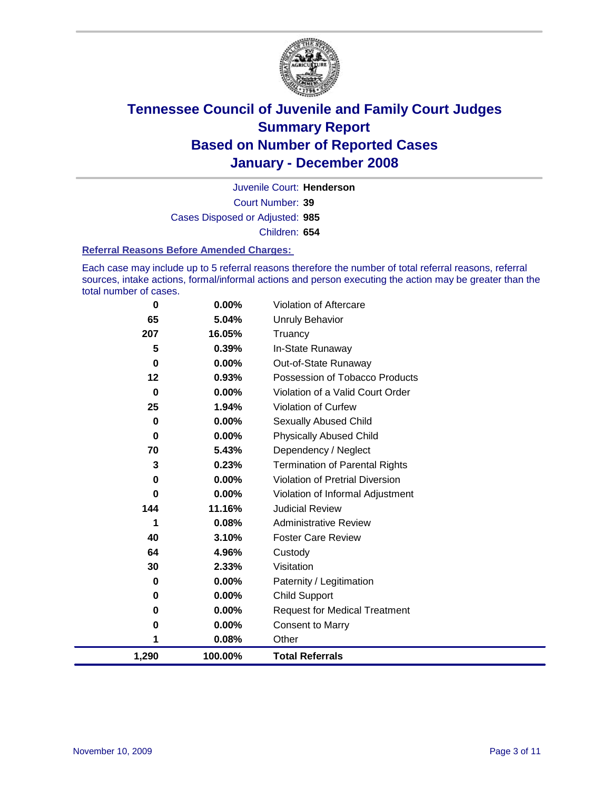

Court Number: **39** Juvenile Court: **Henderson** Cases Disposed or Adjusted: **985** Children: **654**

#### **Referral Reasons Before Amended Charges:**

Each case may include up to 5 referral reasons therefore the number of total referral reasons, referral sources, intake actions, formal/informal actions and person executing the action may be greater than the total number of cases.

| 0        | 0.00%    | Violation of Aftercare                 |
|----------|----------|----------------------------------------|
| 65       | 5.04%    | Unruly Behavior                        |
| 207      | 16.05%   | Truancy                                |
| 5        | 0.39%    | In-State Runaway                       |
| $\bf{0}$ | 0.00%    | Out-of-State Runaway                   |
| $12 \,$  | 0.93%    | Possession of Tobacco Products         |
| 0        | 0.00%    | Violation of a Valid Court Order       |
| 25       | 1.94%    | Violation of Curfew                    |
| 0        | 0.00%    | <b>Sexually Abused Child</b>           |
| 0        | 0.00%    | <b>Physically Abused Child</b>         |
| 70       | 5.43%    | Dependency / Neglect                   |
| 3        | 0.23%    | <b>Termination of Parental Rights</b>  |
| 0        | 0.00%    | <b>Violation of Pretrial Diversion</b> |
| 0        | $0.00\%$ | Violation of Informal Adjustment       |
| 144      | 11.16%   | <b>Judicial Review</b>                 |
| 1        | 0.08%    | <b>Administrative Review</b>           |
| 40       | 3.10%    | <b>Foster Care Review</b>              |
| 64       | 4.96%    | Custody                                |
| 30       | 2.33%    | Visitation                             |
| 0        | 0.00%    | Paternity / Legitimation               |
| 0        | $0.00\%$ | <b>Child Support</b>                   |
| 0        | $0.00\%$ | <b>Request for Medical Treatment</b>   |
| 0        | 0.00%    | <b>Consent to Marry</b>                |
| 1        | 0.08%    | Other                                  |
| 1,290    | 100.00%  | <b>Total Referrals</b>                 |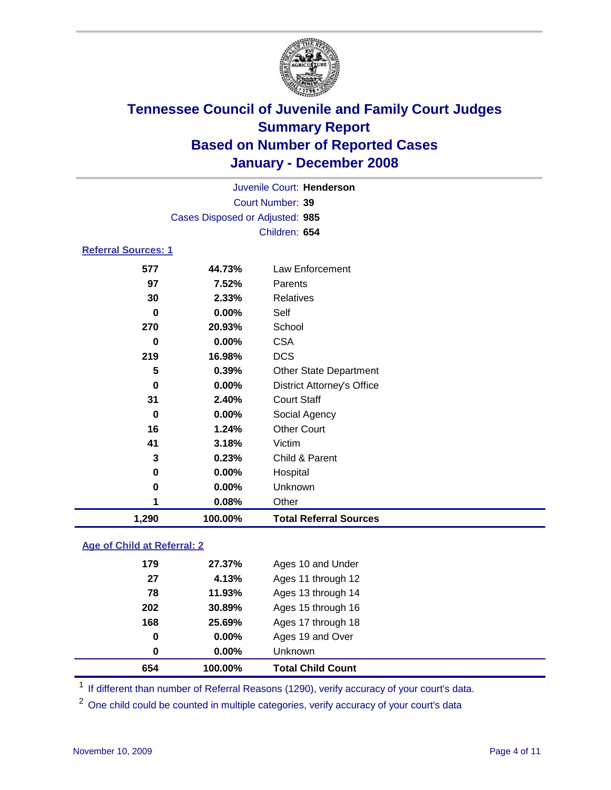

|                            |                                 | Juvenile Court: Henderson |  |  |
|----------------------------|---------------------------------|---------------------------|--|--|
|                            | Court Number: 39                |                           |  |  |
|                            | Cases Disposed or Adjusted: 985 |                           |  |  |
|                            | Children: 654                   |                           |  |  |
| <b>Referral Sources: 1</b> |                                 |                           |  |  |
| 577                        | 44.73%                          | Law Enforcement           |  |  |
| 97                         | 7.52%                           | Parents                   |  |  |
| 30                         | 2.33%                           | Relatives                 |  |  |
| 0                          | $0.00\%$                        | Self                      |  |  |
| 270                        | 20.93%                          | School                    |  |  |

| 1,290 | 100.00%         | <b>Total Referral Sources</b>     |
|-------|-----------------|-----------------------------------|
|       | 0.08%           | Other                             |
| 0     | 0.00%           | Unknown                           |
| 0     | 0.00%           | Hospital                          |
| 3     | 0.23%           | Child & Parent                    |
| 41    | 3.18%           | Victim                            |
| 16    | 1.24%           | <b>Other Court</b>                |
| 0     | 0.00%           | Social Agency                     |
| 31    | 2.40%           | <b>Court Staff</b>                |
| 0     | $0.00\%$        | <b>District Attorney's Office</b> |
| 5     | 0.39%           | <b>Other State Department</b>     |
| 219   | 16.98%          | <b>DCS</b>                        |
| 0     | 0.00%           | <b>CSA</b>                        |
|       | <u>_v.vv /v</u> | ייטיייט                           |

### **Age of Child at Referral: 2**

| 654 | 100.00%  | <b>Total Child Count</b> |
|-----|----------|--------------------------|
| 0   | 0.00%    | <b>Unknown</b>           |
| 0   | $0.00\%$ | Ages 19 and Over         |
| 168 | 25.69%   | Ages 17 through 18       |
| 202 | 30.89%   | Ages 15 through 16       |
| 78  | 11.93%   | Ages 13 through 14       |
| 27  | 4.13%    | Ages 11 through 12       |
| 179 | 27.37%   | Ages 10 and Under        |

<sup>1</sup> If different than number of Referral Reasons (1290), verify accuracy of your court's data.

<sup>2</sup> One child could be counted in multiple categories, verify accuracy of your court's data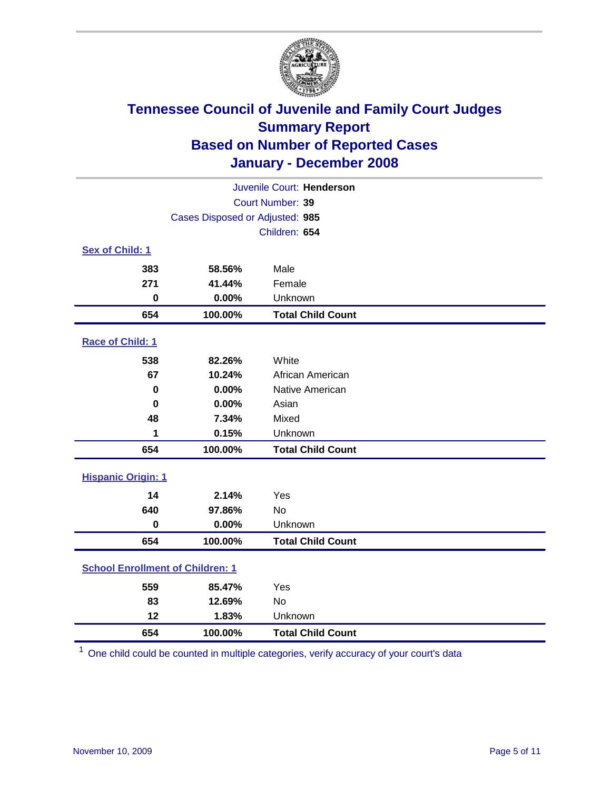

| Juvenile Court: Henderson               |                                 |                          |  |  |  |
|-----------------------------------------|---------------------------------|--------------------------|--|--|--|
|                                         | Court Number: 39                |                          |  |  |  |
|                                         | Cases Disposed or Adjusted: 985 |                          |  |  |  |
|                                         |                                 | Children: 654            |  |  |  |
| Sex of Child: 1                         |                                 |                          |  |  |  |
| 383                                     | 58.56%                          | Male                     |  |  |  |
| 271                                     | 41.44%                          | Female                   |  |  |  |
| $\bf{0}$                                | 0.00%                           | Unknown                  |  |  |  |
| 654                                     | 100.00%                         | <b>Total Child Count</b> |  |  |  |
| Race of Child: 1                        |                                 |                          |  |  |  |
| 538                                     | 82.26%                          | White                    |  |  |  |
| 67                                      | 10.24%                          | African American         |  |  |  |
| $\bf{0}$                                | 0.00%                           | Native American          |  |  |  |
| 0                                       | 0.00%                           | Asian                    |  |  |  |
| 48                                      | 7.34%                           | Mixed                    |  |  |  |
| 1                                       | 0.15%                           | Unknown                  |  |  |  |
| 654                                     | 100.00%                         | <b>Total Child Count</b> |  |  |  |
| <b>Hispanic Origin: 1</b>               |                                 |                          |  |  |  |
| 14                                      | 2.14%                           | Yes                      |  |  |  |
| 640                                     | 97.86%                          | No                       |  |  |  |
| $\mathbf 0$                             | 0.00%                           | Unknown                  |  |  |  |
| 654                                     | 100.00%                         | <b>Total Child Count</b> |  |  |  |
| <b>School Enrollment of Children: 1</b> |                                 |                          |  |  |  |
| 559                                     | 85.47%                          | Yes                      |  |  |  |
| 83                                      | 12.69%                          | No                       |  |  |  |
| 12                                      | 1.83%                           | Unknown                  |  |  |  |
| 654                                     | 100.00%                         | <b>Total Child Count</b> |  |  |  |

One child could be counted in multiple categories, verify accuracy of your court's data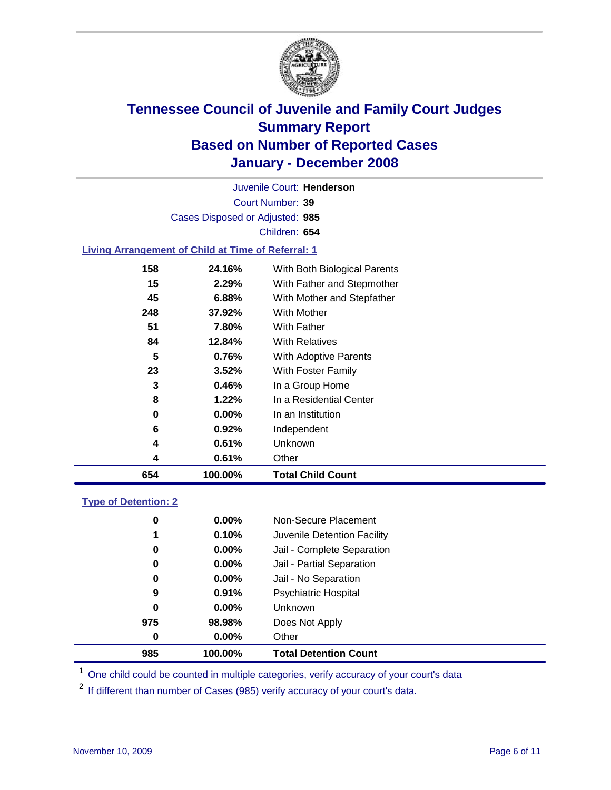

Court Number: **39** Juvenile Court: **Henderson** Cases Disposed or Adjusted: **985** Children: **654**

#### **Living Arrangement of Child at Time of Referral: 1**

| 654 | 100.00%  | <b>Total Child Count</b>     |
|-----|----------|------------------------------|
| 4   | 0.61%    | Other                        |
| 4   | 0.61%    | Unknown                      |
| 6   | 0.92%    | Independent                  |
| 0   | $0.00\%$ | In an Institution            |
| 8   | 1.22%    | In a Residential Center      |
| 3   | 0.46%    | In a Group Home              |
| 23  | 3.52%    | With Foster Family           |
| 5   | 0.76%    | With Adoptive Parents        |
| 84  | 12.84%   | <b>With Relatives</b>        |
| 51  | 7.80%    | <b>With Father</b>           |
| 248 | 37.92%   | With Mother                  |
| 45  | 6.88%    | With Mother and Stepfather   |
| 15  | 2.29%    | With Father and Stepmother   |
| 158 | 24.16%   | With Both Biological Parents |
|     |          |                              |

#### **Type of Detention: 2**

| 985 | 100.00%  | <b>Total Detention Count</b> |  |
|-----|----------|------------------------------|--|
| 0   | 0.00%    | Other                        |  |
| 975 | 98.98%   | Does Not Apply               |  |
| 0   | $0.00\%$ | <b>Unknown</b>               |  |
| 9   | 0.91%    | <b>Psychiatric Hospital</b>  |  |
| 0   | $0.00\%$ | Jail - No Separation         |  |
| 0   | $0.00\%$ | Jail - Partial Separation    |  |
| 0   | 0.00%    | Jail - Complete Separation   |  |
| 1   | 0.10%    | Juvenile Detention Facility  |  |
| 0   | $0.00\%$ | Non-Secure Placement         |  |
|     |          |                              |  |

<sup>1</sup> One child could be counted in multiple categories, verify accuracy of your court's data

<sup>2</sup> If different than number of Cases (985) verify accuracy of your court's data.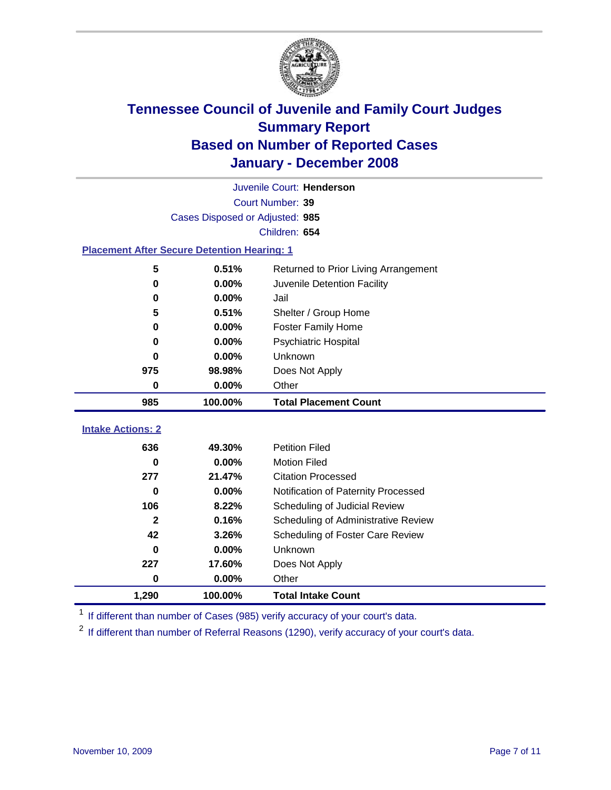

|                                                    | Juvenile Court: Henderson       |                                      |  |  |  |
|----------------------------------------------------|---------------------------------|--------------------------------------|--|--|--|
|                                                    |                                 | Court Number: 39                     |  |  |  |
|                                                    | Cases Disposed or Adjusted: 985 |                                      |  |  |  |
|                                                    | Children: 654                   |                                      |  |  |  |
| <b>Placement After Secure Detention Hearing: 1</b> |                                 |                                      |  |  |  |
| 5                                                  | 0.51%                           | Returned to Prior Living Arrangement |  |  |  |
| 0                                                  | 0.00%                           | Juvenile Detention Facility          |  |  |  |
| 0                                                  | 0.00%                           | Jail                                 |  |  |  |
| 5                                                  | 0.51%                           | Shelter / Group Home                 |  |  |  |
| 0                                                  | 0.00%                           | <b>Foster Family Home</b>            |  |  |  |
| 0                                                  | 0.00%                           | <b>Psychiatric Hospital</b>          |  |  |  |
| 0                                                  | 0.00%                           | Unknown                              |  |  |  |
| 975                                                | 98.98%                          | Does Not Apply                       |  |  |  |
| 0                                                  | 0.00%                           | Other                                |  |  |  |
| 985                                                | 100.00%                         | <b>Total Placement Count</b>         |  |  |  |
|                                                    |                                 |                                      |  |  |  |
| <b>Intake Actions: 2</b>                           |                                 |                                      |  |  |  |
| 636                                                | 49.30%                          | <b>Petition Filed</b>                |  |  |  |
| 0                                                  | 0.00%                           | <b>Motion Filed</b>                  |  |  |  |
| 277                                                | 21.47%                          | <b>Citation Processed</b>            |  |  |  |
| 0                                                  | 0.00%                           | Notification of Paternity Processed  |  |  |  |
| 106                                                | 8.22%                           | Scheduling of Judicial Review        |  |  |  |
| $\mathbf{2}$                                       | 0.16%                           | Scheduling of Administrative Review  |  |  |  |
| 42                                                 | 3.26%                           | Scheduling of Foster Care Review     |  |  |  |
| 0                                                  | 0.00%                           | Unknown                              |  |  |  |
| 227                                                | 17.60%                          | Does Not Apply                       |  |  |  |
| 0                                                  | 0.00%                           | Other                                |  |  |  |
| 1,290                                              | 100.00%                         | <b>Total Intake Count</b>            |  |  |  |

<sup>1</sup> If different than number of Cases (985) verify accuracy of your court's data.

<sup>2</sup> If different than number of Referral Reasons (1290), verify accuracy of your court's data.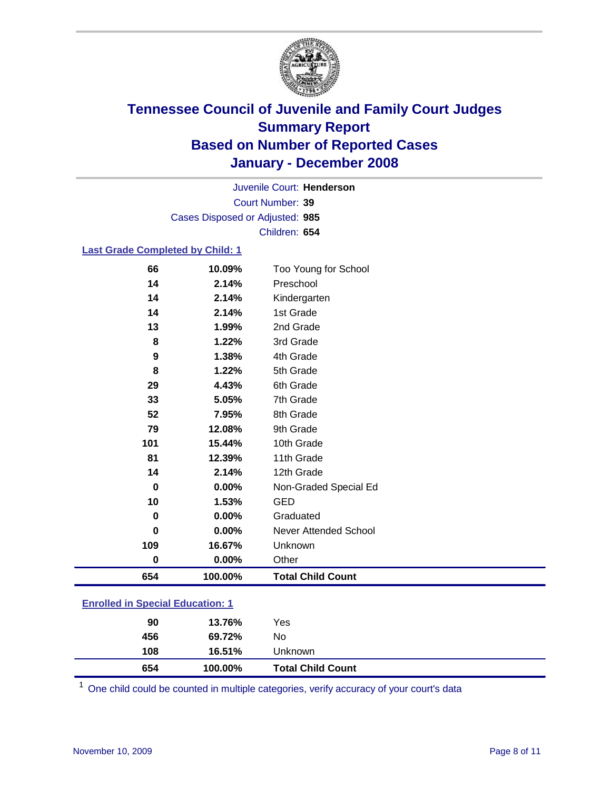

Court Number: **39** Juvenile Court: **Henderson** Cases Disposed or Adjusted: **985** Children: **654**

### **Last Grade Completed by Child: 1**

| 654      | 100.00% | <b>Total Child Count</b> |
|----------|---------|--------------------------|
| 0        | 0.00%   | Other                    |
| 109      | 16.67%  | Unknown                  |
| 0        | 0.00%   | Never Attended School    |
| $\bf{0}$ | 0.00%   | Graduated                |
| 10       | 1.53%   | <b>GED</b>               |
| 0        | 0.00%   | Non-Graded Special Ed    |
| 14       | 2.14%   | 12th Grade               |
| 81       | 12.39%  | 11th Grade               |
| 101      | 15.44%  | 10th Grade               |
| 79       | 12.08%  | 9th Grade                |
| 52       | 7.95%   | 8th Grade                |
| 33       | 5.05%   | 7th Grade                |
| 29       | 4.43%   | 6th Grade                |
| 8        | 1.22%   | 5th Grade                |
| 9        | 1.38%   | 4th Grade                |
| 8        | 1.22%   | 3rd Grade                |
| 13       | 1.99%   | 2nd Grade                |
| 14       | 2.14%   | 1st Grade                |
| 14       | 2.14%   | Kindergarten             |
| 14       | 2.14%   | Preschool                |
| 66       | 10.09%  | Too Young for School     |

### **Enrolled in Special Education: 1**

| 654        | 100.00%          | <b>Total Child Count</b> |
|------------|------------------|--------------------------|
| 456<br>108 | 69.72%<br>16.51% | No<br>Unknown            |
|            |                  |                          |
| 90         | 13.76%           | Yes                      |

One child could be counted in multiple categories, verify accuracy of your court's data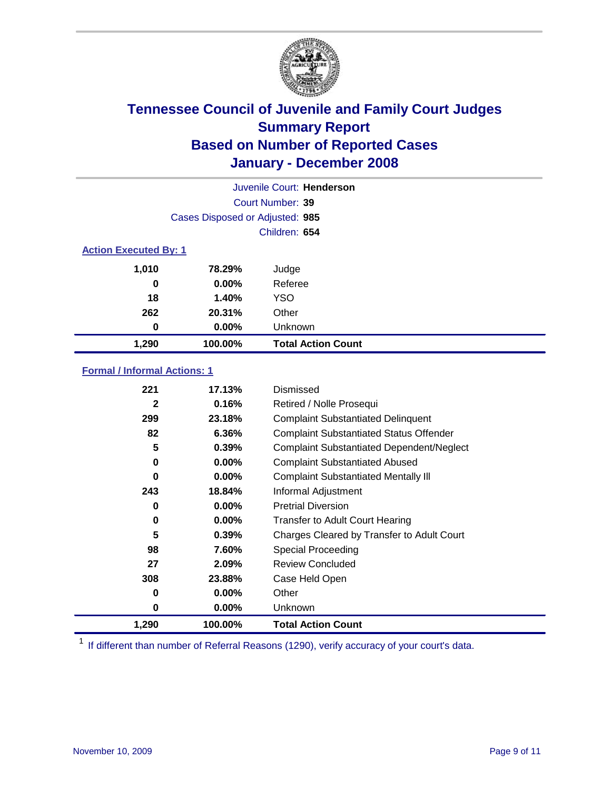

|                              |                                 | Juvenile Court: Henderson |
|------------------------------|---------------------------------|---------------------------|
|                              |                                 | Court Number: 39          |
|                              | Cases Disposed or Adjusted: 985 |                           |
|                              |                                 | Children: 654             |
| <b>Action Executed By: 1</b> |                                 |                           |
| 1,010                        | 78.29%                          | Judge                     |
| 0                            | $0.00\%$                        | Referee                   |
| 18                           | 1.40%                           | <b>YSO</b>                |
| 262                          | 20.31%                          | Other                     |
| 0                            | $0.00\%$                        | Unknown                   |
| 1,290                        | 100.00%                         | <b>Total Action Count</b> |

### **Formal / Informal Actions: 1**

| 221          | 17.13%   | Dismissed                                        |
|--------------|----------|--------------------------------------------------|
| $\mathbf{2}$ | 0.16%    | Retired / Nolle Prosequi                         |
| 299          | 23.18%   | <b>Complaint Substantiated Delinquent</b>        |
| 82           | 6.36%    | <b>Complaint Substantiated Status Offender</b>   |
| 5            | 0.39%    | <b>Complaint Substantiated Dependent/Neglect</b> |
| 0            | $0.00\%$ | <b>Complaint Substantiated Abused</b>            |
| 0            | $0.00\%$ | <b>Complaint Substantiated Mentally III</b>      |
| 243          | 18.84%   | Informal Adjustment                              |
| 0            | $0.00\%$ | <b>Pretrial Diversion</b>                        |
| 0            | $0.00\%$ | <b>Transfer to Adult Court Hearing</b>           |
| 5            | 0.39%    | Charges Cleared by Transfer to Adult Court       |
| 98           | 7.60%    | Special Proceeding                               |
| 27           | 2.09%    | <b>Review Concluded</b>                          |
| 308          | 23.88%   | Case Held Open                                   |
| 0            | $0.00\%$ | Other                                            |
| 0            | $0.00\%$ | <b>Unknown</b>                                   |
| 1,290        | 100.00%  | <b>Total Action Count</b>                        |

<sup>1</sup> If different than number of Referral Reasons (1290), verify accuracy of your court's data.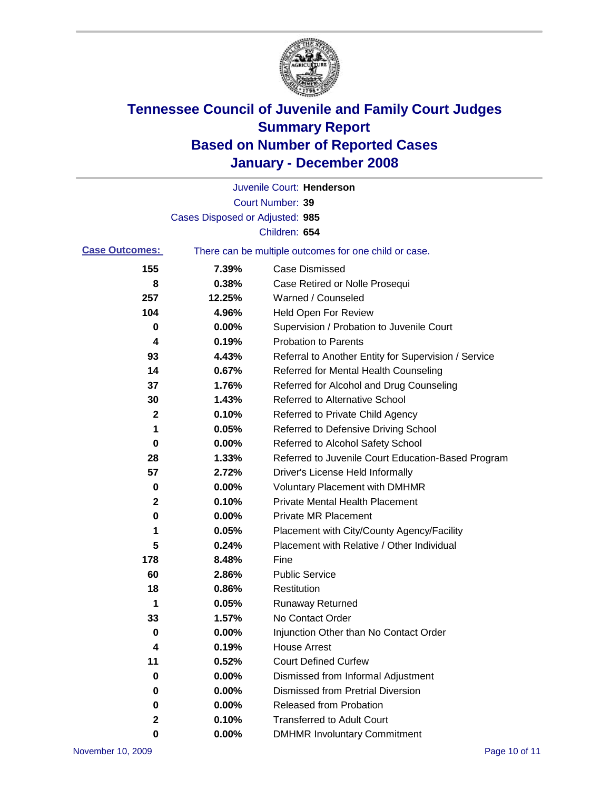

|                       |                                 | Juvenile Court: Henderson                             |
|-----------------------|---------------------------------|-------------------------------------------------------|
|                       |                                 | Court Number: 39                                      |
|                       | Cases Disposed or Adjusted: 985 |                                                       |
|                       |                                 | Children: 654                                         |
| <b>Case Outcomes:</b> |                                 | There can be multiple outcomes for one child or case. |
| 155                   | 7.39%                           | <b>Case Dismissed</b>                                 |
| 8                     | 0.38%                           | Case Retired or Nolle Prosequi                        |
| 257                   | 12.25%                          | Warned / Counseled                                    |
| 104                   | 4.96%                           | Held Open For Review                                  |
| 0                     | 0.00%                           | Supervision / Probation to Juvenile Court             |
| 4                     | 0.19%                           | <b>Probation to Parents</b>                           |
| 93                    | 4.43%                           | Referral to Another Entity for Supervision / Service  |
| 14                    | 0.67%                           | Referred for Mental Health Counseling                 |
| 37                    | 1.76%                           | Referred for Alcohol and Drug Counseling              |
| 30                    | 1.43%                           | <b>Referred to Alternative School</b>                 |
| 2                     | 0.10%                           | Referred to Private Child Agency                      |
| 1                     | 0.05%                           | Referred to Defensive Driving School                  |
| 0                     | 0.00%                           | Referred to Alcohol Safety School                     |
| 28                    | 1.33%                           | Referred to Juvenile Court Education-Based Program    |
| 57                    | 2.72%                           | Driver's License Held Informally                      |
| 0                     | 0.00%                           | <b>Voluntary Placement with DMHMR</b>                 |
| 2                     | 0.10%                           | <b>Private Mental Health Placement</b>                |
| $\bf{0}$              | 0.00%                           | Private MR Placement                                  |
| 1                     | 0.05%                           | Placement with City/County Agency/Facility            |
| 5                     | 0.24%                           | Placement with Relative / Other Individual            |
| 178                   | 8.48%                           | Fine                                                  |
| 60                    | 2.86%                           | <b>Public Service</b>                                 |
| 18                    | 0.86%                           | Restitution                                           |
| 1                     | 0.05%                           | <b>Runaway Returned</b>                               |
| 33                    | 1.57%                           | No Contact Order                                      |
| 0                     | 0.00%                           | Injunction Other than No Contact Order                |
| 4                     | 0.19%                           | <b>House Arrest</b>                                   |
| 11                    | 0.52%                           | <b>Court Defined Curfew</b>                           |
| 0                     | 0.00%                           | Dismissed from Informal Adjustment                    |
| 0                     | 0.00%                           | <b>Dismissed from Pretrial Diversion</b>              |
| 0                     | 0.00%                           | <b>Released from Probation</b>                        |
| 2                     | 0.10%                           | <b>Transferred to Adult Court</b>                     |
| 0                     | $0.00\%$                        | <b>DMHMR Involuntary Commitment</b>                   |